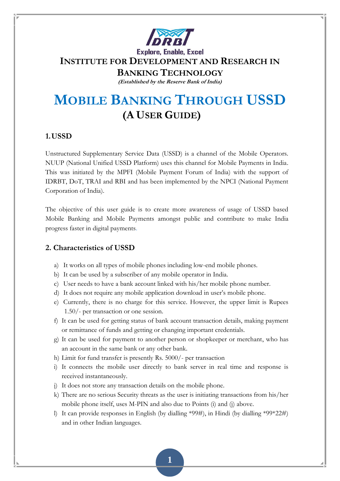

**Explore, Enable, Excel INSTITUTE FOR DEVELOPMENT AND RESEARCH IN** 

**BANKING TECHNOLOGY**

**(Established by the Reserve Bank of India)**

# **MOBILE BANKING THROUGH USSD (A USER GUIDE)**

### **1.USSD**

Unstructured Supplementary Service Data (USSD) is a channel of the Mobile Operators. NUUP (National Unified USSD Platform) uses this channel for Mobile Payments in India. This was initiated by the MPFI (Mobile Payment Forum of India) with the support of IDRBT, DoT, TRAI and RBI and has been implemented by the NPCI (National Payment Corporation of India).

The objective of this user guide is to create more awareness of usage of USSD based Mobile Banking and Mobile Payments amongst public and contribute to make India progress faster in digital payments.

### **2. Characteristics of USSD**

- a) It works on all types of mobile phones including low-end mobile phones.
- b) It can be used by a subscriber of any mobile operator in India.
- c) User needs to have a bank account linked with his/her mobile phone number.
- d) It does not require any mobile application download in user's mobile phone.
- e) Currently, there is no charge for this service. However, the upper limit is Rupees 1.50/- per transaction or one session.
- f) It can be used for getting status of bank account transaction details, making payment or remittance of funds and getting or changing important credentials.
- g) It can be used for payment to another person or shopkeeper or merchant, who has an account in the same bank or any other bank.
- h) Limit for fund transfer is presently Rs. 5000/- per transaction
- i) It connects the mobile user directly to bank server in real time and response is received instantaneously.
- j) It does not store any transaction details on the mobile phone.
- k) There are no serious Security threats as the user is initiating transactions from his/her mobile phone itself, uses M-PIN and also due to Points (i) and (j) above.
- l) It can provide responses in English (by dialling \*99#), in Hindi (by dialling \*99\*22#) and in other Indian languages.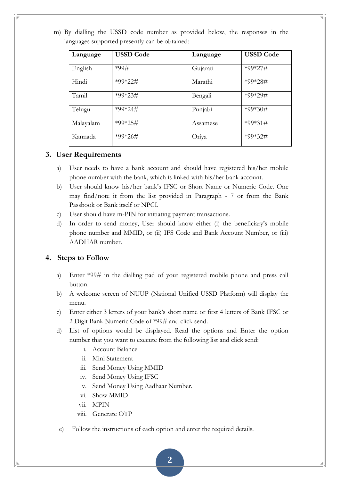m) By dialling the USSD code number as provided below, the responses in the languages supported presently can be obtained:

| Language  | <b>USSD Code</b> | Language | <b>USSD Code</b> |
|-----------|------------------|----------|------------------|
| English   | $*99#$           | Gujarati | $*99*27#$        |
| Hindi     | $*99*22\#$       | Marathi  | *99*28#          |
| Tamil     | $*99*23\#$       | Bengali  | $*99*29#$        |
| Telugu    | $*99*24\#$       | Punjabi  | $*99*30\#$       |
| Malayalam | $*99*25\#$       | Assamese | $*99*31\#$       |
| Kannada   | $*99*26\#$       | Oriya    | $*99*32\#$       |

### **3. User Requirements**

- a) User needs to have a bank account and should have registered his/her mobile phone number with the bank, which is linked with his/her bank account.
- b) User should know his/her bank's IFSC or Short Name or Numeric Code. One may find/note it from the list provided in Paragraph - 7 or from the Bank Passbook or Bank itself or NPCI.
- c) User should have m-PIN for initiating payment transactions.
- d) In order to send money, User should know either (i) the beneficiary's mobile phone number and MMID, or (ii) IFS Code and Bank Account Number, or (iii) AADHAR number.

### **4. Steps to Follow**

- a) Enter \*99# in the dialling pad of your registered mobile phone and press call button.
- b) A welcome screen of NUUP (National Unified USSD Platform) will display the menu.
- c) Enter either 3 letters of your bank's short name or first 4 letters of Bank IFSC or 2 Digit Bank Numeric Code of \*99# and click send.
- d) List of options would be displayed. Read the options and Enter the option number that you want to execute from the following list and click send:
	- i. Account Balance
	- ii. Mini Statement
	- iii. Send Money Using MMID
	- iv. Send Money Using IFSC
	- v. Send Money Using Aadhaar Number.
	- vi. Show MMID
	- vii. MPIN
	- viii. Generate OTP
- e) Follow the instructions of each option and enter the required details.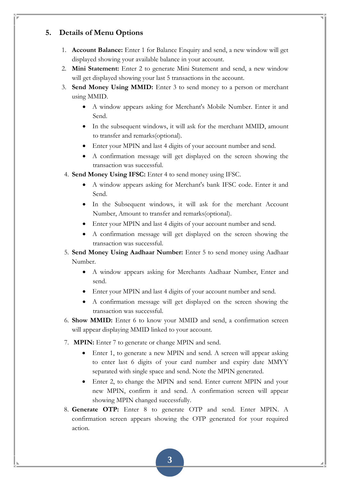### **5. Details of Menu Options**

- 1. **Account Balance:** Enter 1 for Balance Enquiry and send, a new window will get displayed showing your available balance in your account.
- 2. **Mini Statement:** Enter 2 to generate Mini Statement and send, a new window will get displayed showing your last 5 transactions in the account.
- 3. **Send Money Using MMID:** Enter 3 to send money to a person or merchant using MMID.
	- A window appears asking for Merchant's Mobile Number. Enter it and Send.
	- In the subsequent windows, it will ask for the merchant MMID, amount to transfer and remarks(optional).
	- Enter your MPIN and last 4 digits of your account number and send.
	- A confirmation message will get displayed on the screen showing the transaction was successful.
- 4. **Send Money Using IFSC:** Enter 4 to send money using IFSC.
	- A window appears asking for Merchant's bank IFSC code. Enter it and Send.
	- In the Subsequent windows, it will ask for the merchant Account Number, Amount to transfer and remarks(optional).
	- Enter your MPIN and last 4 digits of your account number and send.
	- A confirmation message will get displayed on the screen showing the transaction was successful.
- 5. **Send Money Using Aadhaar Number:** Enter 5 to send money using Aadhaar Number.
	- A window appears asking for Merchants Aadhaar Number, Enter and send.
	- Enter your MPIN and last 4 digits of your account number and send.
	- A confirmation message will get displayed on the screen showing the transaction was successful.
- 6. **Show MMID:** Enter 6 to know your MMID and send, a confirmation screen will appear displaying MMID linked to your account.
- 7. **MPIN:** Enter 7 to generate or change MPIN and send.
	- Enter 1, to generate a new MPIN and send. A screen will appear asking to enter last 6 digits of your card number and expiry date MMYY separated with single space and send. Note the MPIN generated.
	- Enter 2, to change the MPIN and send. Enter current MPIN and your new MPIN, confirm it and send. A confirmation screen will appear showing MPIN changed successfully.
- 8. **Generate OTP:** Enter 8 to generate OTP and send. Enter MPIN. A confirmation screen appears showing the OTP generated for your required action.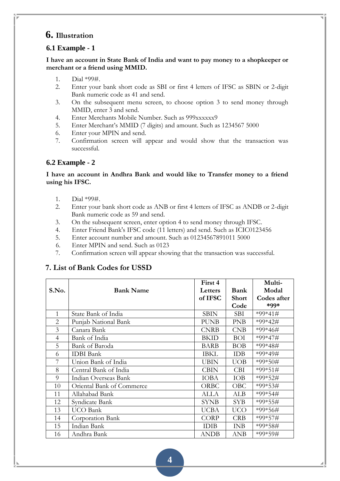## **6. Illustration**

### **6.1 Example - 1**

**I have an account in State Bank of India and want to pay money to a shopkeeper or merchant or a friend using MMID.** 

- 1. Dial \*99#.
- 2. Enter your bank short code as SBI or first 4 letters of IFSC as SBIN or 2-digit Bank numeric code as 41 and send.
- 3. On the subsequent menu screen, to choose option 3 to send money through MMID, enter 3 and send.
- 4. Enter Merchants Mobile Number. Such as 999xxxxxx9
- 5. Enter Merchant's MMID (7 digits) and amount. Such as 1234567 5000
- 6. Enter your MPIN and send.
- 7. Confirmation screen will appear and would show that the transaction was successful.

### **6.2 Example - 2**

#### **I have an account in Andhra Bank and would like to Transfer money to a friend using his IFSC.**

- 1. Dial \*99#.
- 2. Enter your bank short code as ANB or first 4 letters of IFSC as ANDB or 2-digit Bank numeric code as 59 and send.
- 3. On the subsequent screen, enter option 4 to send money through IFSC.
- 4. Enter Friend Bank's IFSC code (11 letters) and send. Such as ICIC0123456
- 5. Enter account number and amount. Such as 01234567891011 5000
- 6. Enter MPIN and send. Such as 0123
- 7. Confirmation screen will appear showing that the transaction was successful.

### **7. List of Bank Codes for USSD**

|                |                           | First 4     |              | Multi-      |
|----------------|---------------------------|-------------|--------------|-------------|
| S.No.          | <b>Bank Name</b>          | Letters     | Bank         | Modal       |
|                |                           | of IFSC     | <b>Short</b> | Codes after |
|                |                           |             | Code         | *99*        |
| 1              | State Bank of India       | <b>SBIN</b> | SBI          | $*99*41\#$  |
| 2              | Punjab National Bank      | PUNB        | PNB          | *99*42#     |
| 3              | Canara Bank               | <b>CNRB</b> | CNB          | $*99*46#$   |
| $\overline{4}$ | Bank of India             | BKID        | <b>BOI</b>   | *99*47#     |
| 5              | Bank of Baroda            | <b>BARB</b> | <b>BOB</b>   | *99*48#     |
| 6              | <b>IDBI</b> Bank          | IBKL        | <b>IDB</b>   | *99*49#     |
| 7              | Union Bank of India       | <b>UBIN</b> | UOB          | *99*50#     |
| 8              | Central Bank of India     | <b>CBIN</b> | <b>CBI</b>   | $*99*51\#$  |
| 9              | Indian Overseas Bank      | <b>IOBA</b> | <b>IOB</b>   | $*99*52\#$  |
| 10             | Oriental Bank of Commerce | <b>ORBC</b> | OBC          | *99*53#     |
| 11             | Allahabad Bank            | ALLA        | ALB          | *99*54#     |
| 12             | Syndicate Bank            | <b>SYNB</b> | <b>SYB</b>   | $*99*55#$   |
| 13             | <b>UCO</b> Bank           | <b>UCBA</b> | <b>UCO</b>   | $*99*56\#$  |
| 14             | Corporation Bank          | <b>CORP</b> | <b>CRB</b>   | *99*57#     |
| 15             | Indian Bank               | <b>IDIB</b> | <b>INB</b>   | *99*58#     |
| 16             | Andhra Bank               | <b>ANDB</b> | <b>ANB</b>   | *99*59#     |